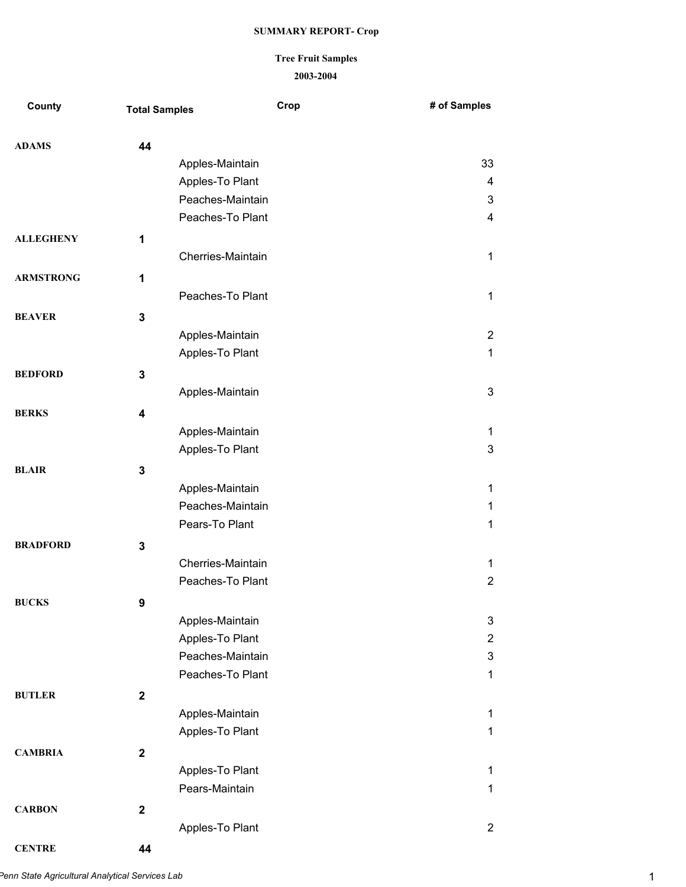## **Tree Fruit Samples**

#### **2003-2004**

| County           | <b>Total Samples</b> |                   | Crop | # of Samples            |
|------------------|----------------------|-------------------|------|-------------------------|
| <b>ADAMS</b>     | 44                   |                   |      |                         |
|                  |                      | Apples-Maintain   |      | 33                      |
|                  |                      | Apples-To Plant   |      | 4                       |
|                  |                      | Peaches-Maintain  |      | 3                       |
|                  |                      | Peaches-To Plant  |      | 4                       |
| <b>ALLEGHENY</b> | 1                    |                   |      |                         |
|                  |                      | Cherries-Maintain |      | $\mathbf{1}$            |
| <b>ARMSTRONG</b> | 1                    |                   |      |                         |
|                  |                      | Peaches-To Plant  |      | $\mathbf 1$             |
| <b>BEAVER</b>    | 3                    |                   |      |                         |
|                  |                      | Apples-Maintain   |      | $\overline{2}$          |
|                  |                      | Apples-To Plant   |      | $\mathbf{1}$            |
|                  |                      |                   |      |                         |
| <b>BEDFORD</b>   | 3                    | Apples-Maintain   |      | 3                       |
|                  |                      |                   |      |                         |
| <b>BERKS</b>     | 4                    |                   |      |                         |
|                  |                      | Apples-Maintain   |      | 1                       |
|                  |                      | Apples-To Plant   |      | 3                       |
| <b>BLAIR</b>     | 3                    |                   |      |                         |
|                  |                      | Apples-Maintain   |      | 1                       |
|                  |                      | Peaches-Maintain  |      | 1                       |
|                  |                      | Pears-To Plant    |      | $\mathbf{1}$            |
| <b>BRADFORD</b>  | 3                    |                   |      |                         |
|                  |                      | Cherries-Maintain |      | $\mathbf{1}$            |
|                  |                      | Peaches-To Plant  |      | $\overline{2}$          |
| <b>BUCKS</b>     | 9                    |                   |      |                         |
|                  |                      | Apples-Maintain   |      | 3                       |
|                  |                      | Apples-To Plant   |      | 2                       |
|                  |                      | Peaches-Maintain  |      | 3                       |
|                  |                      | Peaches-To Plant  |      | 1                       |
| <b>BUTLER</b>    | $\mathbf 2$          |                   |      |                         |
|                  |                      | Apples-Maintain   |      | 1                       |
|                  |                      | Apples-To Plant   |      | $\mathbf 1$             |
| <b>CAMBRIA</b>   | $\mathbf{2}$         |                   |      |                         |
|                  |                      | Apples-To Plant   |      | 1                       |
|                  |                      | Pears-Maintain    |      | 1                       |
| <b>CARBON</b>    | $\mathbf 2$          |                   |      |                         |
|                  |                      | Apples-To Plant   |      | $\overline{\mathbf{c}}$ |
|                  |                      |                   |      |                         |

**CENTRE 44**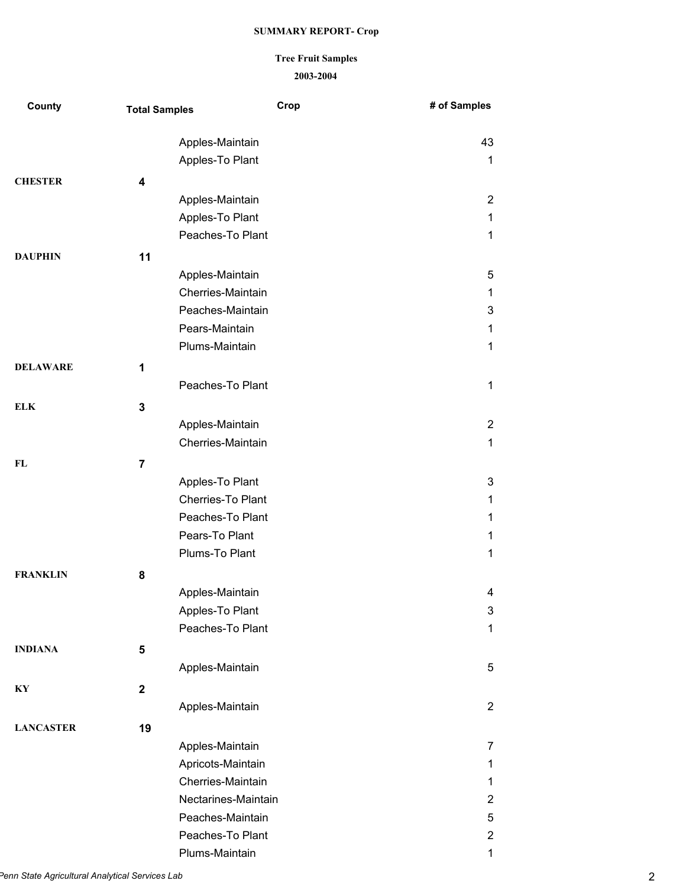## **Tree Fruit Samples**

### **2003-2004**

| County           | <b>Total Samples</b> |                     | Crop | # of Samples   |
|------------------|----------------------|---------------------|------|----------------|
|                  |                      | Apples-Maintain     |      | 43             |
|                  |                      | Apples-To Plant     |      | 1              |
| <b>CHESTER</b>   | 4                    |                     |      |                |
|                  |                      | Apples-Maintain     |      | $\overline{2}$ |
|                  |                      | Apples-To Plant     |      | 1              |
|                  |                      | Peaches-To Plant    |      | $\mathbf{1}$   |
| <b>DAUPHIN</b>   | 11                   |                     |      |                |
|                  |                      | Apples-Maintain     |      | 5              |
|                  |                      | Cherries-Maintain   |      | 1              |
|                  |                      | Peaches-Maintain    |      | 3              |
|                  |                      | Pears-Maintain      |      | 1              |
|                  |                      | Plums-Maintain      |      | $\mathbf{1}$   |
| <b>DELAWARE</b>  | 1                    |                     |      |                |
|                  |                      | Peaches-To Plant    |      | 1              |
| <b>ELK</b>       | 3                    |                     |      |                |
|                  |                      | Apples-Maintain     |      | $\overline{2}$ |
|                  |                      | Cherries-Maintain   |      | 1              |
| FL               | $\overline{7}$       |                     |      |                |
|                  |                      | Apples-To Plant     |      | 3              |
|                  |                      | Cherries-To Plant   |      | 1              |
|                  |                      | Peaches-To Plant    |      | 1              |
|                  |                      | Pears-To Plant      |      | 1              |
|                  |                      | Plums-To Plant      |      | 1              |
| <b>FRANKLIN</b>  | 8                    |                     |      |                |
|                  |                      | Apples-Maintain     |      | 4              |
|                  |                      | Apples-To Plant     |      | 3              |
|                  |                      | Peaches-To Plant    |      | 1              |
| <b>INDIANA</b>   | 5                    |                     |      |                |
|                  |                      | Apples-Maintain     |      | 5              |
| KY               | $\mathbf 2$          |                     |      |                |
|                  |                      | Apples-Maintain     |      | $\overline{2}$ |
| <b>LANCASTER</b> | 19                   |                     |      |                |
|                  |                      | Apples-Maintain     |      | 7              |
|                  |                      | Apricots-Maintain   |      | 1              |
|                  |                      | Cherries-Maintain   |      | 1              |
|                  |                      | Nectarines-Maintain |      | 2              |
|                  |                      | Peaches-Maintain    |      | 5              |
|                  |                      | Peaches-To Plant    |      | 2              |
|                  |                      | Plums-Maintain      |      | $\mathbf 1$    |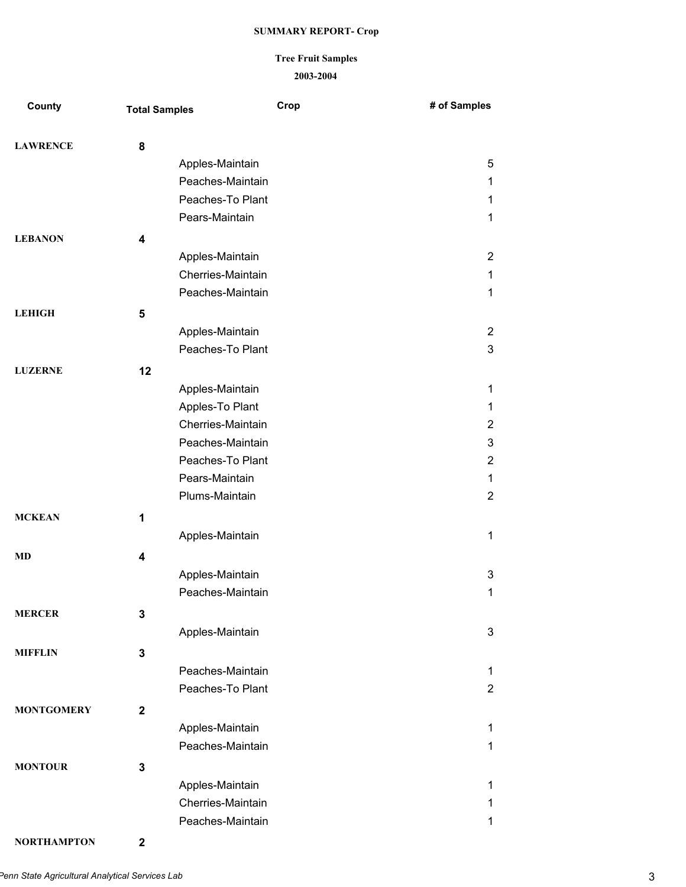# **Tree Fruit Samples**

#### **2003-2004**

| County            | <b>Total Samples</b>    | Crop              | # of Samples   |
|-------------------|-------------------------|-------------------|----------------|
| <b>LAWRENCE</b>   | 8                       |                   |                |
|                   |                         | Apples-Maintain   | 5              |
|                   |                         | Peaches-Maintain  | $\mathbf{1}$   |
|                   |                         | Peaches-To Plant  | 1              |
|                   |                         | Pears-Maintain    | $\mathbf{1}$   |
| <b>LEBANON</b>    | $\overline{\mathbf{4}}$ |                   |                |
|                   |                         | Apples-Maintain   | $\overline{2}$ |
|                   |                         | Cherries-Maintain | $\mathbf{1}$   |
|                   |                         | Peaches-Maintain  | $\mathbf{1}$   |
| <b>LEHIGH</b>     | 5                       |                   |                |
|                   |                         | Apples-Maintain   | $\overline{c}$ |
|                   |                         | Peaches-To Plant  | 3              |
| <b>LUZERNE</b>    | 12                      |                   |                |
|                   |                         | Apples-Maintain   | $\mathbf{1}$   |
|                   |                         | Apples-To Plant   | $\mathbf{1}$   |
|                   |                         | Cherries-Maintain | $\overline{2}$ |
|                   |                         | Peaches-Maintain  | 3              |
|                   |                         | Peaches-To Plant  | $\overline{2}$ |
|                   |                         | Pears-Maintain    | $\mathbf{1}$   |
|                   |                         | Plums-Maintain    | $\overline{2}$ |
| <b>MCKEAN</b>     | 1                       |                   |                |
|                   |                         | Apples-Maintain   | $\mathbf{1}$   |
| <b>MD</b>         | 4                       |                   |                |
|                   |                         | Apples-Maintain   | 3              |
|                   |                         | Peaches-Maintain  | 1              |
| <b>MERCER</b>     | $\mathbf 3$             |                   |                |
|                   |                         | Apples-Maintain   | 3              |
| <b>MIFFLIN</b>    | $\mathbf 3$             |                   |                |
|                   |                         | Peaches-Maintain  | $\mathbf{1}$   |
|                   |                         | Peaches-To Plant  | $\overline{2}$ |
| <b>MONTGOMERY</b> | $\overline{\mathbf{2}}$ |                   |                |
|                   |                         | Apples-Maintain   | $\mathbf{1}$   |
|                   |                         | Peaches-Maintain  | $\mathbf{1}$   |
| <b>MONTOUR</b>    | 3                       |                   |                |
|                   |                         | Apples-Maintain   | $\mathbf{1}$   |
|                   |                         | Cherries-Maintain | 1              |
|                   |                         | Peaches-Maintain  | $\mathbf 1$    |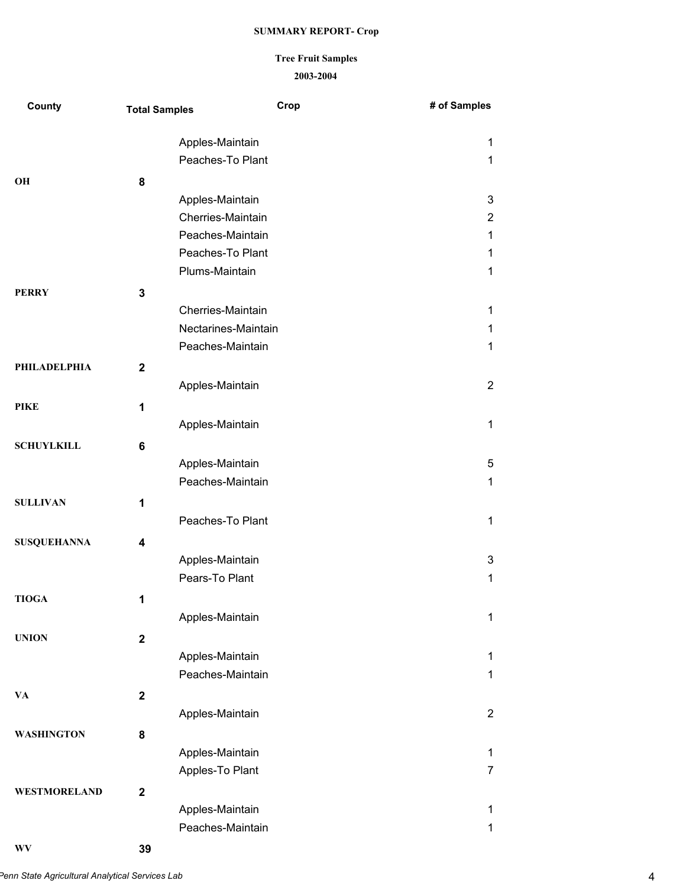### **Tree Fruit Samples**

#### **2003-2004**

| County             | <b>Total Samples</b> | Crop                                | # of Samples               |
|--------------------|----------------------|-------------------------------------|----------------------------|
|                    |                      | Apples-Maintain                     | 1                          |
|                    |                      | Peaches-To Plant                    | 1                          |
| OH                 | 8                    |                                     |                            |
|                    |                      | Apples-Maintain                     | 3                          |
|                    |                      | Cherries-Maintain                   | $\overline{2}$             |
|                    |                      | Peaches-Maintain                    | 1                          |
|                    |                      | Peaches-To Plant                    | $\mathbf 1$                |
|                    |                      | Plums-Maintain                      | 1                          |
| <b>PERRY</b>       | 3                    |                                     |                            |
|                    |                      | Cherries-Maintain                   | 1                          |
|                    |                      | Nectarines-Maintain                 | $\mathbf 1$                |
|                    |                      | Peaches-Maintain                    | 1                          |
| PHILADELPHIA       | $\mathbf{2}$         |                                     |                            |
|                    |                      | Apples-Maintain                     | $\overline{2}$             |
| <b>PIKE</b>        | 1                    |                                     |                            |
|                    |                      | Apples-Maintain                     | $\mathbf 1$                |
| <b>SCHUYLKILL</b>  | 6                    |                                     |                            |
|                    |                      | Apples-Maintain                     | 5                          |
|                    |                      | Peaches-Maintain                    | $\mathbf{1}$               |
| <b>SULLIVAN</b>    | 1                    |                                     |                            |
|                    |                      | Peaches-To Plant                    | 1                          |
| <b>SUSQUEHANNA</b> | 4                    |                                     |                            |
|                    |                      | Apples-Maintain                     | 3                          |
|                    |                      | Pears-To Plant                      | 1                          |
|                    |                      |                                     |                            |
| <b>TIOGA</b>       | 1                    | Apples-Maintain                     | $\mathbf{1}$               |
|                    |                      |                                     |                            |
| <b>UNION</b>       | $\mathbf 2$          |                                     |                            |
|                    |                      | Apples-Maintain<br>Peaches-Maintain | $\mathbf 1$<br>$\mathbf 1$ |
|                    |                      |                                     |                            |
| VA                 | $\mathbf 2$          |                                     |                            |
|                    |                      | Apples-Maintain                     | $\overline{2}$             |
| <b>WASHINGTON</b>  | 8                    |                                     |                            |
|                    |                      | Apples-Maintain                     | $\mathbf{1}$               |
|                    |                      | Apples-To Plant                     | 7                          |
| WESTMORELAND       | $\mathbf{2}$         |                                     |                            |
|                    |                      | Apples-Maintain                     | 1                          |
|                    |                      | Peaches-Maintain                    | $\mathbf 1$                |

**WV 39**